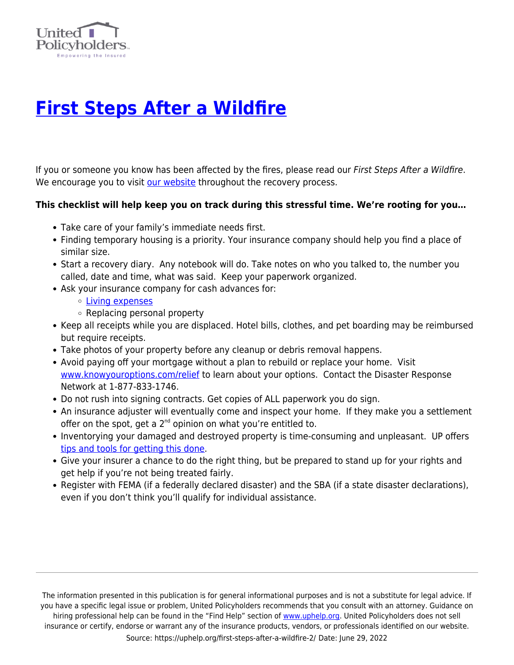

## **[First Steps After a Wildfire](https://uphelp.org/first-steps-after-a-wildfire-2/)**

If you or someone you know has been affected by the fires, please read our First Steps After a Wildfire. We encourage you to visit [our website](https://uphelp.org/) throughout the recovery process.

## **This checklist will help keep you on track during this stressful time. We're rooting for you…**

- Take care of your family's immediate needs first.
- Finding temporary housing is a priority. Your insurance company should help you find a place of similar size.
- Start a recovery diary. Any notebook will do. Take notes on who you talked to, the number you called, date and time, what was said. Keep your paperwork organized.
- Ask your insurance company for cash advances for:
	- [Living expenses](https://uphelp.org/claim-guidance-publications/survivors-speak-additional-living-expense-ale-loss-of-use/)
	- Replacing personal property
- Keep all receipts while you are displaced. Hotel bills, clothes, and pet boarding may be reimbursed but require receipts.
- Take photos of your property before any cleanup or debris removal happens.
- Avoid paying off your mortgage without a plan to rebuild or replace your home. Visit [www.knowyouroptions.com/relief](http://www.knowyouroptions.com/relief) to learn about your options. Contact the Disaster Response Network at 1-877-833-1746.
- Do not rush into signing contracts. Get copies of ALL paperwork you do sign.
- An insurance adjuster will eventually come and inspect your home. If they make you a settlement offer on the spot, get a  $2^{nd}$  opinion on what you're entitled to.
- Inventorying your damaged and destroyed property is time-consuming and unpleasant. UP offers [tips and tools for getting this done.](https://uphelp.org/claim-guidance-publications/home-inventory-and-contents-claim-tips/)
- Give your insurer a chance to do the right thing, but be prepared to stand up for your rights and get help if you're not being treated fairly.
- Register with FEMA (if a federally declared disaster) and the SBA (if a state disaster declarations), even if you don't think you'll qualify for individual assistance.

The information presented in this publication is for general informational purposes and is not a substitute for legal advice. If you have a specific legal issue or problem, United Policyholders recommends that you consult with an attorney. Guidance on hiring professional help can be found in the "Find Help" section of [www.uphelp.org.](http://www.uphelp.org/) United Policyholders does not sell insurance or certify, endorse or warrant any of the insurance products, vendors, or professionals identified on our website. Source: https://uphelp.org/first-steps-after-a-wildfire-2/ Date: June 29, 2022